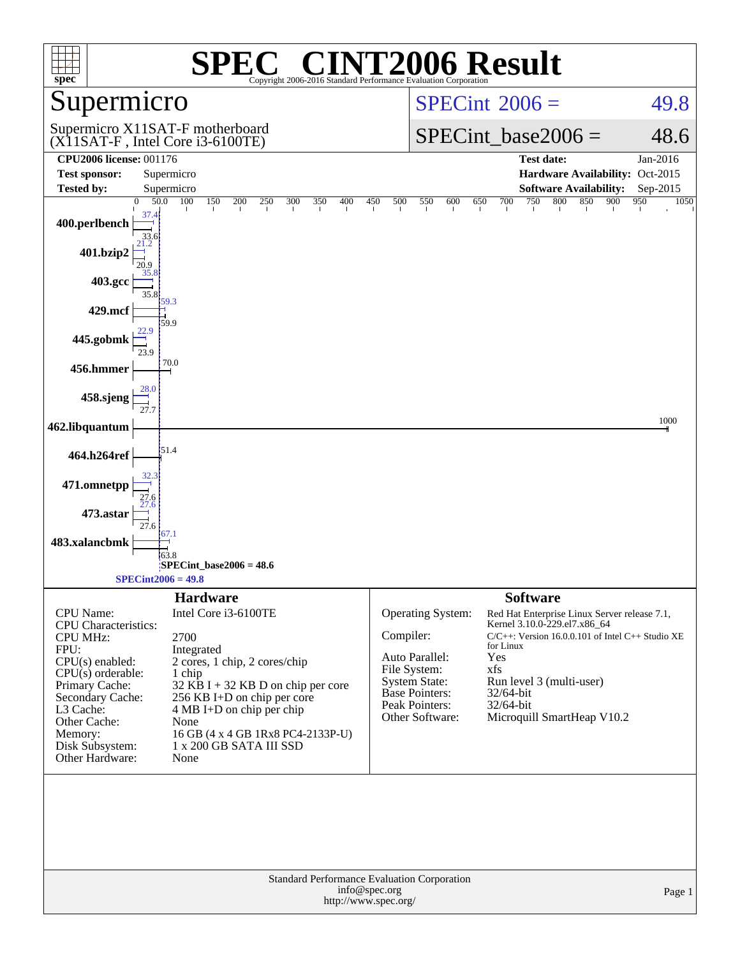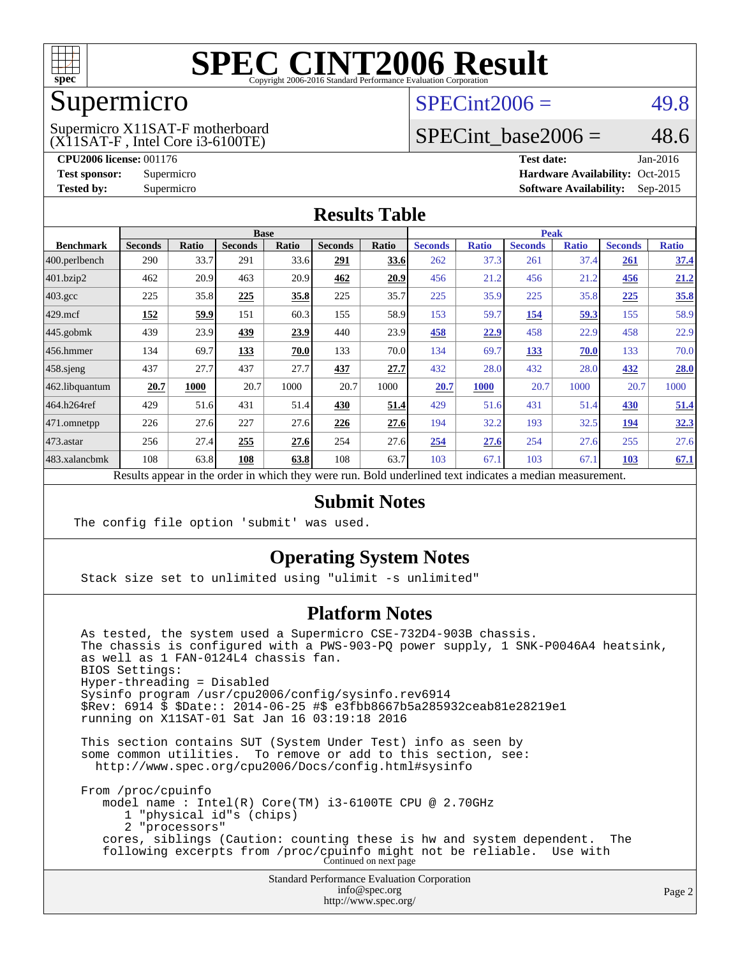

### Supermicro

#### (X11SAT-F , Intel Core i3-6100TE) Supermicro X11SAT-F motherboard

 $SPECint2006 = 49.8$  $SPECint2006 = 49.8$ 

### SPECint base2006 =  $48.6$

**[CPU2006 license:](http://www.spec.org/auto/cpu2006/Docs/result-fields.html#CPU2006license)** 001176 **[Test date:](http://www.spec.org/auto/cpu2006/Docs/result-fields.html#Testdate)** Jan-2016 **[Test sponsor:](http://www.spec.org/auto/cpu2006/Docs/result-fields.html#Testsponsor)** Supermicro Supermicro **[Hardware Availability:](http://www.spec.org/auto/cpu2006/Docs/result-fields.html#HardwareAvailability)** Oct-2015 **[Tested by:](http://www.spec.org/auto/cpu2006/Docs/result-fields.html#Testedby)** Supermicro **Supermicro [Software Availability:](http://www.spec.org/auto/cpu2006/Docs/result-fields.html#SoftwareAvailability)** Sep-2015

#### **[Results Table](http://www.spec.org/auto/cpu2006/Docs/result-fields.html#ResultsTable)**

|                                                                                                          | <b>Base</b>    |              |                |              |                | <b>Peak</b> |                |              |                |              |                |              |
|----------------------------------------------------------------------------------------------------------|----------------|--------------|----------------|--------------|----------------|-------------|----------------|--------------|----------------|--------------|----------------|--------------|
| <b>Benchmark</b>                                                                                         | <b>Seconds</b> | <b>Ratio</b> | <b>Seconds</b> | <b>Ratio</b> | <b>Seconds</b> | Ratio       | <b>Seconds</b> | <b>Ratio</b> | <b>Seconds</b> | <b>Ratio</b> | <b>Seconds</b> | <b>Ratio</b> |
| 400.perlbench                                                                                            | 290            | 33.7         | 291            | 33.6         | 291            | 33.6        | 262            | 37.3         | 261            | 37.4         | 261            | <u>37.4</u>  |
| 401.bzip2                                                                                                | 462            | 20.9         | 463            | 20.9         | 462            | 20.9        | 456            | 21.2         | 456            | 21.2         | 456            | 21.2         |
| $403.\mathrm{gcc}$                                                                                       | 225            | 35.8         | 225            | 35.8         | 225            | 35.7        | 225            | 35.9         | 225            | 35.8         | 225            | 35.8         |
| $429$ .mcf                                                                                               | 152            | 59.9         | 151            | 60.3         | 155            | 58.9        | 153            | 59.7         | 154            | 59.3         | 155            | 58.9         |
| $445$ .gobmk                                                                                             | 439            | 23.9         | 439            | 23.9         | 440            | 23.9        | 458            | 22.9         | 458            | 22.9         | 458            | 22.9         |
| $456.$ hmmer                                                                                             | 134            | 69.7         | 133            | 70.0         | 133            | 70.0        | 134            | 69.7         | 133            | 70.0         | 133            | 70.0         |
| $458$ .sjeng                                                                                             | 437            | 27.7         | 437            | 27.7         | 437            | 27.7        | 432            | 28.0         | 432            | 28.0         | 432            | 28.0         |
| 462.libquantum                                                                                           | 20.7           | 1000         | 20.7           | 1000         | 20.7           | 1000        | 20.7           | 1000         | 20.7           | 1000         | 20.7           | 1000         |
| 464.h264ref                                                                                              | 429            | 51.6         | 431            | 51.4         | 430            | 51.4        | 429            | 51.6         | 431            | 51.4         | 430            | 51.4         |
| $ 471$ .omnetpp                                                                                          | 226            | 27.6         | 227            | 27.6         | 226            | 27.6        | 194            | 32.2         | 193            | 32.5         | 194            | 32.3         |
| $473$ . astar                                                                                            | 256            | 27.4         | 255            | 27.6         | 254            | 27.6        | 254            | 27.6         | 254            | 27.6         | 255            | 27.6         |
| 483.xalancbmk                                                                                            | 108            | 63.8         | 108            | 63.8         | 108            | 63.7        | 103            | 67.1         | 103            | 67.1         | <b>103</b>     | 67.1         |
| Results appear in the order in which they were run. Bold underlined text indicates a median measurement. |                |              |                |              |                |             |                |              |                |              |                |              |

#### **[Submit Notes](http://www.spec.org/auto/cpu2006/Docs/result-fields.html#SubmitNotes)**

The config file option 'submit' was used.

### **[Operating System Notes](http://www.spec.org/auto/cpu2006/Docs/result-fields.html#OperatingSystemNotes)**

Stack size set to unlimited using "ulimit -s unlimited"

### **[Platform Notes](http://www.spec.org/auto/cpu2006/Docs/result-fields.html#PlatformNotes)**

 As tested, the system used a Supermicro CSE-732D4-903B chassis. The chassis is configured with a PWS-903-PQ power supply, 1 SNK-P0046A4 heatsink, as well as 1 FAN-0124L4 chassis fan. BIOS Settings: Hyper-threading = Disabled Sysinfo program /usr/cpu2006/config/sysinfo.rev6914 \$Rev: 6914 \$ \$Date:: 2014-06-25 #\$ e3fbb8667b5a285932ceab81e28219e1 running on X11SAT-01 Sat Jan 16 03:19:18 2016 This section contains SUT (System Under Test) info as seen by some common utilities. To remove or add to this section, see:

<http://www.spec.org/cpu2006/Docs/config.html#sysinfo>

 From /proc/cpuinfo model name : Intel(R) Core(TM) i3-6100TE CPU @ 2.70GHz 1 "physical id"s (chips) 2 "processors" cores, siblings (Caution: counting these is hw and system dependent. The following excerpts from /proc/cpuinfo might not be reliable. Use with Continued on next page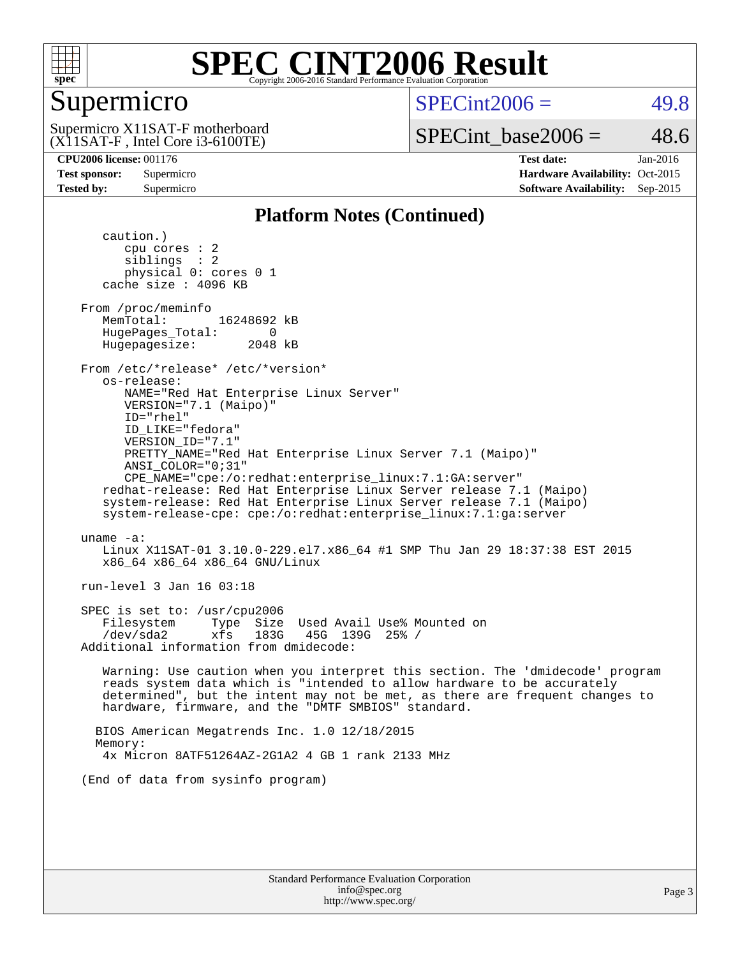

### Supermicro

 $SPECint2006 = 49.8$  $SPECint2006 = 49.8$ 

(X11SAT-F , Intel Core i3-6100TE) Supermicro X11SAT-F motherboard SPECint base2006 =  $48.6$ 

**[CPU2006 license:](http://www.spec.org/auto/cpu2006/Docs/result-fields.html#CPU2006license)** 001176 **[Test date:](http://www.spec.org/auto/cpu2006/Docs/result-fields.html#Testdate)** Jan-2016 **[Test sponsor:](http://www.spec.org/auto/cpu2006/Docs/result-fields.html#Testsponsor)** Supermicro Supermicro **[Hardware Availability:](http://www.spec.org/auto/cpu2006/Docs/result-fields.html#HardwareAvailability)** Oct-2015 **[Tested by:](http://www.spec.org/auto/cpu2006/Docs/result-fields.html#Testedby)** Supermicro **Supermicro [Software Availability:](http://www.spec.org/auto/cpu2006/Docs/result-fields.html#SoftwareAvailability)** Sep-2015

#### **[Platform Notes \(Continued\)](http://www.spec.org/auto/cpu2006/Docs/result-fields.html#PlatformNotes)**

 caution.) cpu cores : 2 siblings : 2 physical 0: cores 0 1 cache size : 4096 KB From /proc/meminfo MemTotal: 16248692 kB HugePages\_Total: 0<br>Hugepagesize: 2048 kB Hugepagesize: From /etc/\*release\* /etc/\*version\* os-release: NAME="Red Hat Enterprise Linux Server" VERSION="7.1 (Maipo)" ID="rhel" ID\_LIKE="fedora" VERSION\_ID="7.1" PRETTY\_NAME="Red Hat Enterprise Linux Server 7.1 (Maipo)" ANSI\_COLOR="0;31" CPE\_NAME="cpe:/o:redhat:enterprise\_linux:7.1:GA:server" redhat-release: Red Hat Enterprise Linux Server release 7.1 (Maipo) system-release: Red Hat Enterprise Linux Server release 7.1 (Maipo) system-release-cpe: cpe:/o:redhat:enterprise\_linux:7.1:ga:server uname -a: Linux X11SAT-01 3.10.0-229.el7.x86\_64 #1 SMP Thu Jan 29 18:37:38 EST 2015 x86\_64 x86\_64 x86\_64 GNU/Linux run-level 3 Jan 16 03:18 SPEC is set to: /usr/cpu2006 Filesystem Type Size Used Avail Use% Mounted on /dev/sda2 xfs 183G 45G 139G 25% / Additional information from dmidecode: Warning: Use caution when you interpret this section. The 'dmidecode' program reads system data which is "intended to allow hardware to be accurately determined", but the intent may not be met, as there are frequent changes to hardware, firmware, and the "DMTF SMBIOS" standard. BIOS American Megatrends Inc. 1.0 12/18/2015 Memory: 4x Micron 8ATF51264AZ-2G1A2 4 GB 1 rank 2133 MHz (End of data from sysinfo program)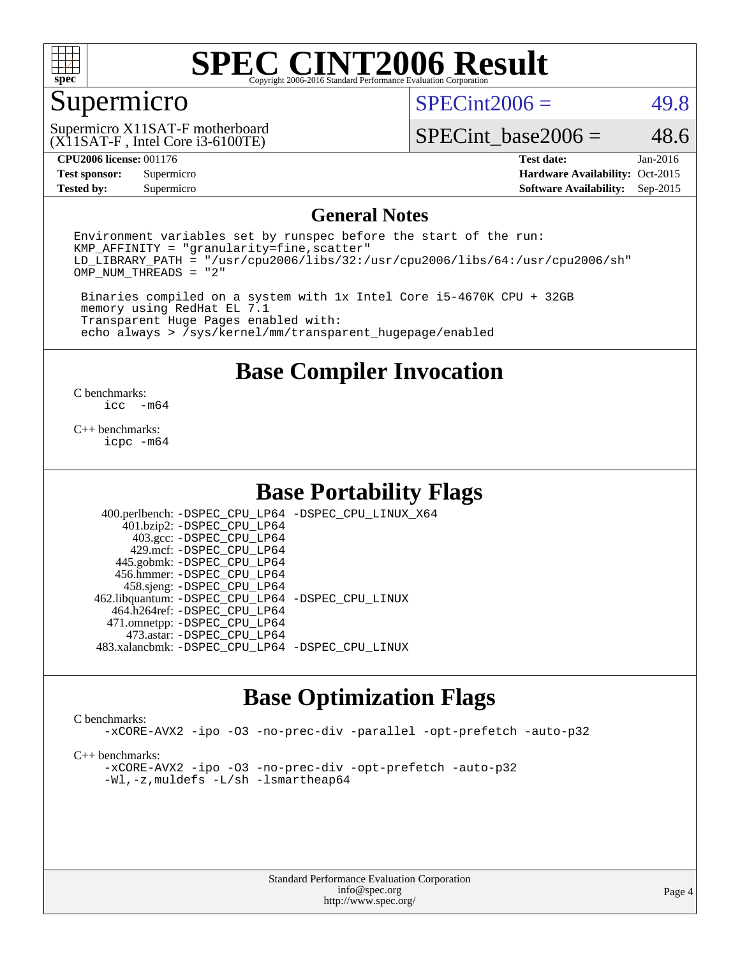

### Supermicro

 $SPECint2006 = 49.8$  $SPECint2006 = 49.8$ 

(X11SAT-F , Intel Core i3-6100TE) Supermicro X11SAT-F motherboard

SPECint base2006 =  $48.6$ 

**[Tested by:](http://www.spec.org/auto/cpu2006/Docs/result-fields.html#Testedby)** Supermicro **Supermicro [Software Availability:](http://www.spec.org/auto/cpu2006/Docs/result-fields.html#SoftwareAvailability)** Sep-2015

**[CPU2006 license:](http://www.spec.org/auto/cpu2006/Docs/result-fields.html#CPU2006license)** 001176 **[Test date:](http://www.spec.org/auto/cpu2006/Docs/result-fields.html#Testdate)** Jan-2016 **[Test sponsor:](http://www.spec.org/auto/cpu2006/Docs/result-fields.html#Testsponsor)** Supermicro Supermicro **[Hardware Availability:](http://www.spec.org/auto/cpu2006/Docs/result-fields.html#HardwareAvailability)** Oct-2015

#### **[General Notes](http://www.spec.org/auto/cpu2006/Docs/result-fields.html#GeneralNotes)**

Environment variables set by runspec before the start of the run:  $KMP$  AFFINITY = "granularity=fine, scatter" LD\_LIBRARY\_PATH = "/usr/cpu2006/libs/32:/usr/cpu2006/libs/64:/usr/cpu2006/sh" OMP\_NUM\_THREADS = "2"

 Binaries compiled on a system with 1x Intel Core i5-4670K CPU + 32GB memory using RedHat EL 7.1 Transparent Huge Pages enabled with: echo always > /sys/kernel/mm/transparent\_hugepage/enabled

**[Base Compiler Invocation](http://www.spec.org/auto/cpu2006/Docs/result-fields.html#BaseCompilerInvocation)**

 $\frac{C \text{ benchmarks:}}{C \text{ C}}$ -m64

[C++ benchmarks:](http://www.spec.org/auto/cpu2006/Docs/result-fields.html#CXXbenchmarks) [icpc -m64](http://www.spec.org/cpu2006/results/res2016q1/cpu2006-20160120-38717.flags.html#user_CXXbase_intel_icpc_64bit_fc66a5337ce925472a5c54ad6a0de310)

### **[Base Portability Flags](http://www.spec.org/auto/cpu2006/Docs/result-fields.html#BasePortabilityFlags)**

 400.perlbench: [-DSPEC\\_CPU\\_LP64](http://www.spec.org/cpu2006/results/res2016q1/cpu2006-20160120-38717.flags.html#b400.perlbench_basePORTABILITY_DSPEC_CPU_LP64) [-DSPEC\\_CPU\\_LINUX\\_X64](http://www.spec.org/cpu2006/results/res2016q1/cpu2006-20160120-38717.flags.html#b400.perlbench_baseCPORTABILITY_DSPEC_CPU_LINUX_X64) 401.bzip2: [-DSPEC\\_CPU\\_LP64](http://www.spec.org/cpu2006/results/res2016q1/cpu2006-20160120-38717.flags.html#suite_basePORTABILITY401_bzip2_DSPEC_CPU_LP64) 403.gcc: [-DSPEC\\_CPU\\_LP64](http://www.spec.org/cpu2006/results/res2016q1/cpu2006-20160120-38717.flags.html#suite_basePORTABILITY403_gcc_DSPEC_CPU_LP64) 429.mcf: [-DSPEC\\_CPU\\_LP64](http://www.spec.org/cpu2006/results/res2016q1/cpu2006-20160120-38717.flags.html#suite_basePORTABILITY429_mcf_DSPEC_CPU_LP64) 445.gobmk: [-DSPEC\\_CPU\\_LP64](http://www.spec.org/cpu2006/results/res2016q1/cpu2006-20160120-38717.flags.html#suite_basePORTABILITY445_gobmk_DSPEC_CPU_LP64) 456.hmmer: [-DSPEC\\_CPU\\_LP64](http://www.spec.org/cpu2006/results/res2016q1/cpu2006-20160120-38717.flags.html#suite_basePORTABILITY456_hmmer_DSPEC_CPU_LP64) 458.sjeng: [-DSPEC\\_CPU\\_LP64](http://www.spec.org/cpu2006/results/res2016q1/cpu2006-20160120-38717.flags.html#suite_basePORTABILITY458_sjeng_DSPEC_CPU_LP64) 462.libquantum: [-DSPEC\\_CPU\\_LP64](http://www.spec.org/cpu2006/results/res2016q1/cpu2006-20160120-38717.flags.html#suite_basePORTABILITY462_libquantum_DSPEC_CPU_LP64) [-DSPEC\\_CPU\\_LINUX](http://www.spec.org/cpu2006/results/res2016q1/cpu2006-20160120-38717.flags.html#b462.libquantum_baseCPORTABILITY_DSPEC_CPU_LINUX) 464.h264ref: [-DSPEC\\_CPU\\_LP64](http://www.spec.org/cpu2006/results/res2016q1/cpu2006-20160120-38717.flags.html#suite_basePORTABILITY464_h264ref_DSPEC_CPU_LP64) 471.omnetpp: [-DSPEC\\_CPU\\_LP64](http://www.spec.org/cpu2006/results/res2016q1/cpu2006-20160120-38717.flags.html#suite_basePORTABILITY471_omnetpp_DSPEC_CPU_LP64) 473.astar: [-DSPEC\\_CPU\\_LP64](http://www.spec.org/cpu2006/results/res2016q1/cpu2006-20160120-38717.flags.html#suite_basePORTABILITY473_astar_DSPEC_CPU_LP64) 483.xalancbmk: [-DSPEC\\_CPU\\_LP64](http://www.spec.org/cpu2006/results/res2016q1/cpu2006-20160120-38717.flags.html#suite_basePORTABILITY483_xalancbmk_DSPEC_CPU_LP64) [-DSPEC\\_CPU\\_LINUX](http://www.spec.org/cpu2006/results/res2016q1/cpu2006-20160120-38717.flags.html#b483.xalancbmk_baseCXXPORTABILITY_DSPEC_CPU_LINUX)

### **[Base Optimization Flags](http://www.spec.org/auto/cpu2006/Docs/result-fields.html#BaseOptimizationFlags)**

#### [C benchmarks](http://www.spec.org/auto/cpu2006/Docs/result-fields.html#Cbenchmarks):

[-xCORE-AVX2](http://www.spec.org/cpu2006/results/res2016q1/cpu2006-20160120-38717.flags.html#user_CCbase_f-xAVX2_5f5fc0cbe2c9f62c816d3e45806c70d7) [-ipo](http://www.spec.org/cpu2006/results/res2016q1/cpu2006-20160120-38717.flags.html#user_CCbase_f-ipo) [-O3](http://www.spec.org/cpu2006/results/res2016q1/cpu2006-20160120-38717.flags.html#user_CCbase_f-O3) [-no-prec-div](http://www.spec.org/cpu2006/results/res2016q1/cpu2006-20160120-38717.flags.html#user_CCbase_f-no-prec-div) [-parallel](http://www.spec.org/cpu2006/results/res2016q1/cpu2006-20160120-38717.flags.html#user_CCbase_f-parallel) [-opt-prefetch](http://www.spec.org/cpu2006/results/res2016q1/cpu2006-20160120-38717.flags.html#user_CCbase_f-opt-prefetch) [-auto-p32](http://www.spec.org/cpu2006/results/res2016q1/cpu2006-20160120-38717.flags.html#user_CCbase_f-auto-p32)

[C++ benchmarks:](http://www.spec.org/auto/cpu2006/Docs/result-fields.html#CXXbenchmarks)

[-xCORE-AVX2](http://www.spec.org/cpu2006/results/res2016q1/cpu2006-20160120-38717.flags.html#user_CXXbase_f-xAVX2_5f5fc0cbe2c9f62c816d3e45806c70d7) [-ipo](http://www.spec.org/cpu2006/results/res2016q1/cpu2006-20160120-38717.flags.html#user_CXXbase_f-ipo) [-O3](http://www.spec.org/cpu2006/results/res2016q1/cpu2006-20160120-38717.flags.html#user_CXXbase_f-O3) [-no-prec-div](http://www.spec.org/cpu2006/results/res2016q1/cpu2006-20160120-38717.flags.html#user_CXXbase_f-no-prec-div) [-opt-prefetch](http://www.spec.org/cpu2006/results/res2016q1/cpu2006-20160120-38717.flags.html#user_CXXbase_f-opt-prefetch) [-auto-p32](http://www.spec.org/cpu2006/results/res2016q1/cpu2006-20160120-38717.flags.html#user_CXXbase_f-auto-p32) [-Wl,-z,muldefs](http://www.spec.org/cpu2006/results/res2016q1/cpu2006-20160120-38717.flags.html#user_CXXbase_link_force_multiple1_74079c344b956b9658436fd1b6dd3a8a) [-L/sh -lsmartheap64](http://www.spec.org/cpu2006/results/res2016q1/cpu2006-20160120-38717.flags.html#user_CXXbase_SmartHeap64_ed4ef857ce90951921efb0d91eb88472)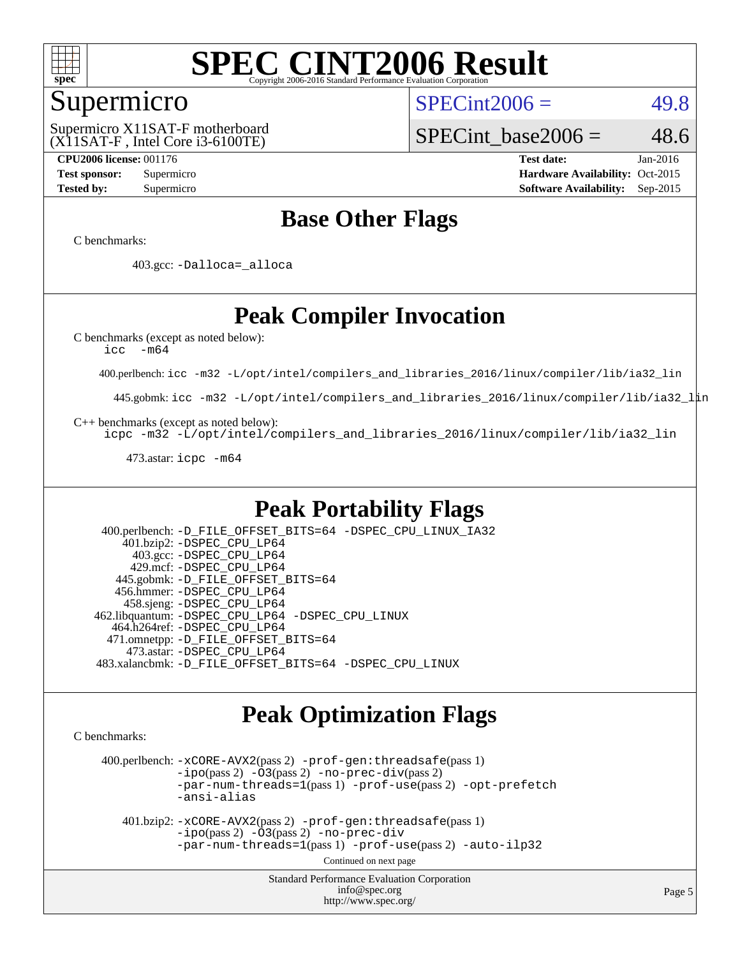

### Supermicro

(X11SAT-F , Intel Core i3-6100TE) Supermicro X11SAT-F motherboard  $SPECint2006 = 49.8$  $SPECint2006 = 49.8$ 

SPECint base2006 =  $48.6$ 

**[CPU2006 license:](http://www.spec.org/auto/cpu2006/Docs/result-fields.html#CPU2006license)** 001176 **[Test date:](http://www.spec.org/auto/cpu2006/Docs/result-fields.html#Testdate)** Jan-2016 **[Test sponsor:](http://www.spec.org/auto/cpu2006/Docs/result-fields.html#Testsponsor)** Supermicro Supermicro **[Hardware Availability:](http://www.spec.org/auto/cpu2006/Docs/result-fields.html#HardwareAvailability)** Oct-2015 **[Tested by:](http://www.spec.org/auto/cpu2006/Docs/result-fields.html#Testedby)** Supermicro **Supermicro [Software Availability:](http://www.spec.org/auto/cpu2006/Docs/result-fields.html#SoftwareAvailability)** Sep-2015

### **[Base Other Flags](http://www.spec.org/auto/cpu2006/Docs/result-fields.html#BaseOtherFlags)**

[C benchmarks](http://www.spec.org/auto/cpu2006/Docs/result-fields.html#Cbenchmarks):

403.gcc: [-Dalloca=\\_alloca](http://www.spec.org/cpu2006/results/res2016q1/cpu2006-20160120-38717.flags.html#b403.gcc_baseEXTRA_CFLAGS_Dalloca_be3056838c12de2578596ca5467af7f3)

### **[Peak Compiler Invocation](http://www.spec.org/auto/cpu2006/Docs/result-fields.html#PeakCompilerInvocation)**

[C benchmarks \(except as noted below\)](http://www.spec.org/auto/cpu2006/Docs/result-fields.html#Cbenchmarksexceptasnotedbelow):

[icc -m64](http://www.spec.org/cpu2006/results/res2016q1/cpu2006-20160120-38717.flags.html#user_CCpeak_intel_icc_64bit_f346026e86af2a669e726fe758c88044)

400.perlbench: [icc -m32 -L/opt/intel/compilers\\_and\\_libraries\\_2016/linux/compiler/lib/ia32\\_lin](http://www.spec.org/cpu2006/results/res2016q1/cpu2006-20160120-38717.flags.html#user_peakCCLD400_perlbench_intel_icc_e10256ba5924b668798078a321b0cb3f)

445.gobmk: [icc -m32 -L/opt/intel/compilers\\_and\\_libraries\\_2016/linux/compiler/lib/ia32\\_lin](http://www.spec.org/cpu2006/results/res2016q1/cpu2006-20160120-38717.flags.html#user_peakCCLD445_gobmk_intel_icc_e10256ba5924b668798078a321b0cb3f)

[C++ benchmarks \(except as noted below\):](http://www.spec.org/auto/cpu2006/Docs/result-fields.html#CXXbenchmarksexceptasnotedbelow)

[icpc -m32 -L/opt/intel/compilers\\_and\\_libraries\\_2016/linux/compiler/lib/ia32\\_lin](http://www.spec.org/cpu2006/results/res2016q1/cpu2006-20160120-38717.flags.html#user_CXXpeak_intel_icpc_b4f50a394bdb4597aa5879c16bc3f5c5)

473.astar: [icpc -m64](http://www.spec.org/cpu2006/results/res2016q1/cpu2006-20160120-38717.flags.html#user_peakCXXLD473_astar_intel_icpc_64bit_fc66a5337ce925472a5c54ad6a0de310)

### **[Peak Portability Flags](http://www.spec.org/auto/cpu2006/Docs/result-fields.html#PeakPortabilityFlags)**

 400.perlbench: [-D\\_FILE\\_OFFSET\\_BITS=64](http://www.spec.org/cpu2006/results/res2016q1/cpu2006-20160120-38717.flags.html#user_peakPORTABILITY400_perlbench_file_offset_bits_64_438cf9856305ebd76870a2c6dc2689ab) [-DSPEC\\_CPU\\_LINUX\\_IA32](http://www.spec.org/cpu2006/results/res2016q1/cpu2006-20160120-38717.flags.html#b400.perlbench_peakCPORTABILITY_DSPEC_CPU_LINUX_IA32) 401.bzip2: [-DSPEC\\_CPU\\_LP64](http://www.spec.org/cpu2006/results/res2016q1/cpu2006-20160120-38717.flags.html#suite_peakPORTABILITY401_bzip2_DSPEC_CPU_LP64) 403.gcc: [-DSPEC\\_CPU\\_LP64](http://www.spec.org/cpu2006/results/res2016q1/cpu2006-20160120-38717.flags.html#suite_peakPORTABILITY403_gcc_DSPEC_CPU_LP64) 429.mcf: [-DSPEC\\_CPU\\_LP64](http://www.spec.org/cpu2006/results/res2016q1/cpu2006-20160120-38717.flags.html#suite_peakPORTABILITY429_mcf_DSPEC_CPU_LP64) 445.gobmk: [-D\\_FILE\\_OFFSET\\_BITS=64](http://www.spec.org/cpu2006/results/res2016q1/cpu2006-20160120-38717.flags.html#user_peakPORTABILITY445_gobmk_file_offset_bits_64_438cf9856305ebd76870a2c6dc2689ab) 456.hmmer: [-DSPEC\\_CPU\\_LP64](http://www.spec.org/cpu2006/results/res2016q1/cpu2006-20160120-38717.flags.html#suite_peakPORTABILITY456_hmmer_DSPEC_CPU_LP64) 458.sjeng: [-DSPEC\\_CPU\\_LP64](http://www.spec.org/cpu2006/results/res2016q1/cpu2006-20160120-38717.flags.html#suite_peakPORTABILITY458_sjeng_DSPEC_CPU_LP64) 462.libquantum: [-DSPEC\\_CPU\\_LP64](http://www.spec.org/cpu2006/results/res2016q1/cpu2006-20160120-38717.flags.html#suite_peakPORTABILITY462_libquantum_DSPEC_CPU_LP64) [-DSPEC\\_CPU\\_LINUX](http://www.spec.org/cpu2006/results/res2016q1/cpu2006-20160120-38717.flags.html#b462.libquantum_peakCPORTABILITY_DSPEC_CPU_LINUX) 464.h264ref: [-DSPEC\\_CPU\\_LP64](http://www.spec.org/cpu2006/results/res2016q1/cpu2006-20160120-38717.flags.html#suite_peakPORTABILITY464_h264ref_DSPEC_CPU_LP64) 471.omnetpp: [-D\\_FILE\\_OFFSET\\_BITS=64](http://www.spec.org/cpu2006/results/res2016q1/cpu2006-20160120-38717.flags.html#user_peakPORTABILITY471_omnetpp_file_offset_bits_64_438cf9856305ebd76870a2c6dc2689ab) 473.astar: [-DSPEC\\_CPU\\_LP64](http://www.spec.org/cpu2006/results/res2016q1/cpu2006-20160120-38717.flags.html#suite_peakPORTABILITY473_astar_DSPEC_CPU_LP64) 483.xalancbmk: [-D\\_FILE\\_OFFSET\\_BITS=64](http://www.spec.org/cpu2006/results/res2016q1/cpu2006-20160120-38717.flags.html#user_peakPORTABILITY483_xalancbmk_file_offset_bits_64_438cf9856305ebd76870a2c6dc2689ab) [-DSPEC\\_CPU\\_LINUX](http://www.spec.org/cpu2006/results/res2016q1/cpu2006-20160120-38717.flags.html#b483.xalancbmk_peakCXXPORTABILITY_DSPEC_CPU_LINUX)

### **[Peak Optimization Flags](http://www.spec.org/auto/cpu2006/Docs/result-fields.html#PeakOptimizationFlags)**

[C benchmarks](http://www.spec.org/auto/cpu2006/Docs/result-fields.html#Cbenchmarks):

 400.perlbench: [-xCORE-AVX2](http://www.spec.org/cpu2006/results/res2016q1/cpu2006-20160120-38717.flags.html#user_peakPASS2_CFLAGSPASS2_LDCFLAGS400_perlbench_f-xAVX2_5f5fc0cbe2c9f62c816d3e45806c70d7)(pass 2) [-prof-gen:threadsafe](http://www.spec.org/cpu2006/results/res2016q1/cpu2006-20160120-38717.flags.html#user_peakPASS1_CFLAGSPASS1_LDCFLAGS400_perlbench_prof_gen_21a26eb79f378b550acd7bec9fe4467a)(pass 1)  $-i\text{po}(pass 2) -\tilde{O}3(pass 2)$  [-no-prec-div](http://www.spec.org/cpu2006/results/res2016q1/cpu2006-20160120-38717.flags.html#user_peakPASS2_CFLAGSPASS2_LDCFLAGS400_perlbench_f-no-prec-div)(pass 2) [-par-num-threads=1](http://www.spec.org/cpu2006/results/res2016q1/cpu2006-20160120-38717.flags.html#user_peakPASS1_CFLAGSPASS1_LDCFLAGS400_perlbench_par_num_threads_786a6ff141b4e9e90432e998842df6c2)(pass 1) [-prof-use](http://www.spec.org/cpu2006/results/res2016q1/cpu2006-20160120-38717.flags.html#user_peakPASS2_CFLAGSPASS2_LDCFLAGS400_perlbench_prof_use_bccf7792157ff70d64e32fe3e1250b55)(pass 2) [-opt-prefetch](http://www.spec.org/cpu2006/results/res2016q1/cpu2006-20160120-38717.flags.html#user_peakCOPTIMIZE400_perlbench_f-opt-prefetch) [-ansi-alias](http://www.spec.org/cpu2006/results/res2016q1/cpu2006-20160120-38717.flags.html#user_peakCOPTIMIZE400_perlbench_f-ansi-alias)

 401.bzip2: [-xCORE-AVX2](http://www.spec.org/cpu2006/results/res2016q1/cpu2006-20160120-38717.flags.html#user_peakPASS2_CFLAGSPASS2_LDCFLAGS401_bzip2_f-xAVX2_5f5fc0cbe2c9f62c816d3e45806c70d7)(pass 2) [-prof-gen:threadsafe](http://www.spec.org/cpu2006/results/res2016q1/cpu2006-20160120-38717.flags.html#user_peakPASS1_CFLAGSPASS1_LDCFLAGS401_bzip2_prof_gen_21a26eb79f378b550acd7bec9fe4467a)(pass 1)  $-i\text{po}(pass 2) -\overline{O}3(pass 2)$  [-no-prec-div](http://www.spec.org/cpu2006/results/res2016q1/cpu2006-20160120-38717.flags.html#user_peakCOPTIMIZEPASS2_CFLAGSPASS2_LDCFLAGS401_bzip2_f-no-prec-div) [-par-num-threads=1](http://www.spec.org/cpu2006/results/res2016q1/cpu2006-20160120-38717.flags.html#user_peakPASS1_CFLAGSPASS1_LDCFLAGS401_bzip2_par_num_threads_786a6ff141b4e9e90432e998842df6c2)(pass 1) [-prof-use](http://www.spec.org/cpu2006/results/res2016q1/cpu2006-20160120-38717.flags.html#user_peakPASS2_CFLAGSPASS2_LDCFLAGS401_bzip2_prof_use_bccf7792157ff70d64e32fe3e1250b55)(pass 2) [-auto-ilp32](http://www.spec.org/cpu2006/results/res2016q1/cpu2006-20160120-38717.flags.html#user_peakCOPTIMIZE401_bzip2_f-auto-ilp32)

Continued on next page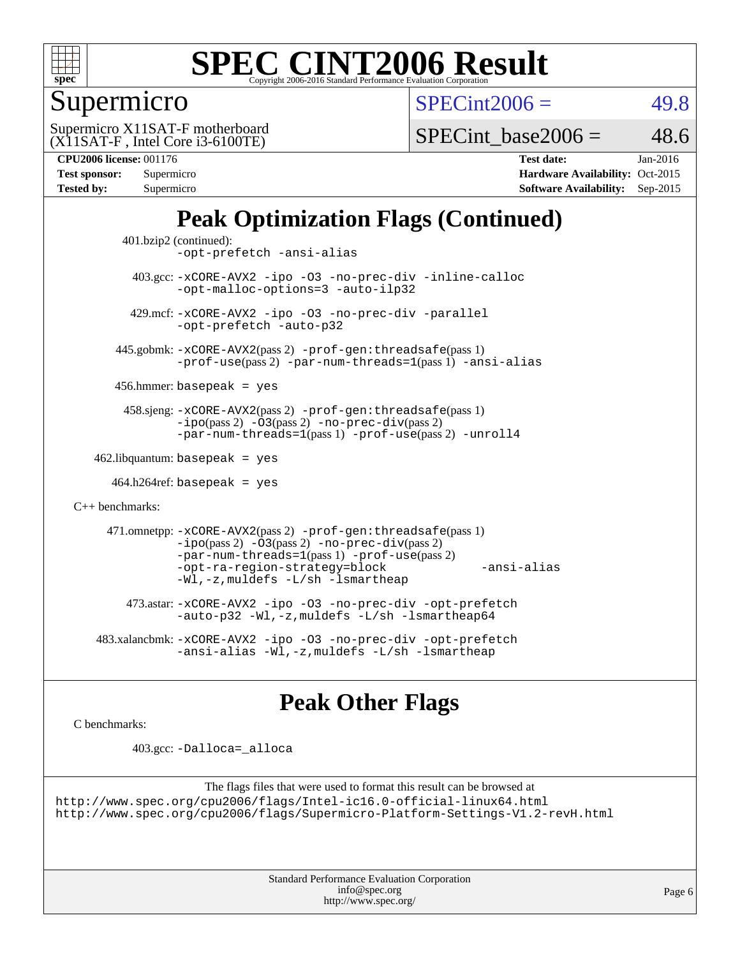

### Supermicro

 $SPECint2006 = 49.8$  $SPECint2006 = 49.8$ 

(X11SAT-F , Intel Core i3-6100TE) Supermicro X11SAT-F motherboard

SPECint base2006 =  $48.6$ 

| Test sponsor: | Supermicro |
|---------------|------------|
| Tested by:    | Supermicro |

**[CPU2006 license:](http://www.spec.org/auto/cpu2006/Docs/result-fields.html#CPU2006license)** 001176 **[Test date:](http://www.spec.org/auto/cpu2006/Docs/result-fields.html#Testdate)** Jan-2016 **[Hardware Availability:](http://www.spec.org/auto/cpu2006/Docs/result-fields.html#HardwareAvailability)** Oct-2015 **[Software Availability:](http://www.spec.org/auto/cpu2006/Docs/result-fields.html#SoftwareAvailability)** Sep-2015

### **[Peak Optimization Flags \(Continued\)](http://www.spec.org/auto/cpu2006/Docs/result-fields.html#PeakOptimizationFlags)**

```
 401.bzip2 (continued):
                -opt-prefetch -ansi-alias
          403.gcc: -xCORE-AVX2 -ipo -O3 -no-prec-div -inline-calloc
                -opt-malloc-options=3 -auto-ilp32
         429.mcf: -xCORE-AVX2 -ipo -O3 -no-prec-div -parallel
                -opt-prefetch -auto-p32
       445.gobmk: -xCORE-AVX2(pass 2) -prof-gen:threadsafe(pass 1)
                -prof-use(pass 2) -par-num-threads=1(pass 1) -ansi-alias
       456.hmmer: basepeak = yes
        458.sjeng: -xCORE-AVX2(pass 2) -prof-gen:threadsafe(pass 1)
                -i\text{po}(pass 2) -\tilde{O}3(pass 2)-no-prec-div(pass 2)
                -par-num-threads=1(pass 1) -prof-use(pass 2) -unroll4
   462.libquantum: basepeak = yes
     464.h264ref: basepeak = yes
C++ benchmarks: 
      471.omnetpp: -xCORE-AVX2(pass 2) -prof-gen:threadsafe(pass 1)
                -i\text{po}(pass 2) -\overline{O}3(pass 2) -no-\overline{prec}\-div(pass 2)-par-num-threads=1(pass 1) -prof-use(pass 2)
                -opt-ra-region-strategy=block -ansi-alias
                -Wl,-z,muldefs -L/sh -lsmartheap
         473.astar: -xCORE-AVX2 -ipo -O3 -no-prec-div -opt-prefetch
                -auto-p32 -Wl,-z,muldefs -L/sh -lsmartheap64
    483.xalancbmk: -xCORE-AVX2 -ipo -O3 -no-prec-div -opt-prefetch
                -ansi-alias-L/sh -lsmartheap
```
### **[Peak Other Flags](http://www.spec.org/auto/cpu2006/Docs/result-fields.html#PeakOtherFlags)**

[C benchmarks](http://www.spec.org/auto/cpu2006/Docs/result-fields.html#Cbenchmarks):

403.gcc: [-Dalloca=\\_alloca](http://www.spec.org/cpu2006/results/res2016q1/cpu2006-20160120-38717.flags.html#b403.gcc_peakEXTRA_CFLAGS_Dalloca_be3056838c12de2578596ca5467af7f3)

```
The flags files that were used to format this result can be browsed at
http://www.spec.org/cpu2006/flags/Intel-ic16.0-official-linux64.html
http://www.spec.org/cpu2006/flags/Supermicro-Platform-Settings-V1.2-revH.html
```